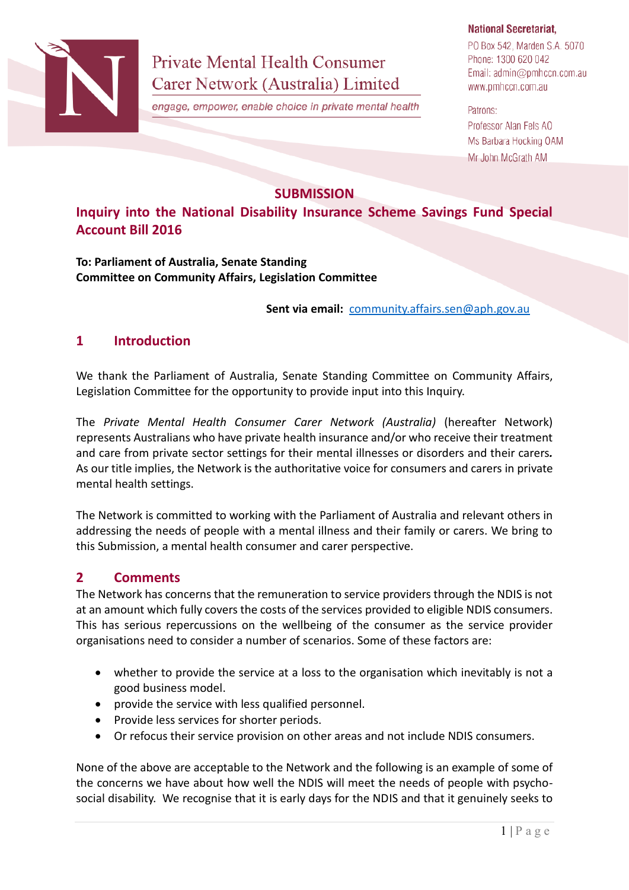

**Private Mental Health Consumer** Carer Network (Australia) Limited

engage, empower, enable choice in private mental health

#### **National Secretariat,**

PO Box 542, Marden S.A. 5070 Phone: 1300 620 042 Email: admin@pmhccn.com.au www.pmhccn.com.au

Patrons: Professor Alan Fels AO Ms Barbara Hocking OAM Mr John McGrath AM

## **SUBMISSION**

**Inquiry into the National Disability Insurance Scheme Savings Fund Special Account Bill 2016**

**To: Parliament of Australia, Senate Standing Committee on Community Affairs, Legislation Committee**

**Sent via email:** [community.affairs.sen@aph.gov.au](mailto:community.affairs.sen@aph.gov.au)

# **1 Introduction**

We thank the Parliament of Australia, Senate Standing Committee on Community Affairs, Legislation Committee for the opportunity to provide input into this Inquiry.

The *Private Mental Health Consumer Carer Network (Australia)* (hereafter Network) represents Australians who have private health insurance and/or who receive their treatment and care from private sector settings for their mental illnesses or disorders and their carers*.* As our title implies, the Network is the authoritative voice for consumers and carers in private mental health settings.

The Network is committed to working with the Parliament of Australia and relevant others in addressing the needs of people with a mental illness and their family or carers. We bring to this Submission, a mental health consumer and carer perspective.

## **2 Comments**

The Network has concerns that the remuneration to service providers through the NDIS is not at an amount which fully covers the costs of the services provided to eligible NDIS consumers. This has serious repercussions on the wellbeing of the consumer as the service provider organisations need to consider a number of scenarios. Some of these factors are:

- whether to provide the service at a loss to the organisation which inevitably is not a good business model.
- provide the service with less qualified personnel.
- Provide less services for shorter periods.
- Or refocus their service provision on other areas and not include NDIS consumers.

None of the above are acceptable to the Network and the following is an example of some of the concerns we have about how well the NDIS will meet the needs of people with psychosocial disability. We recognise that it is early days for the NDIS and that it genuinely seeks to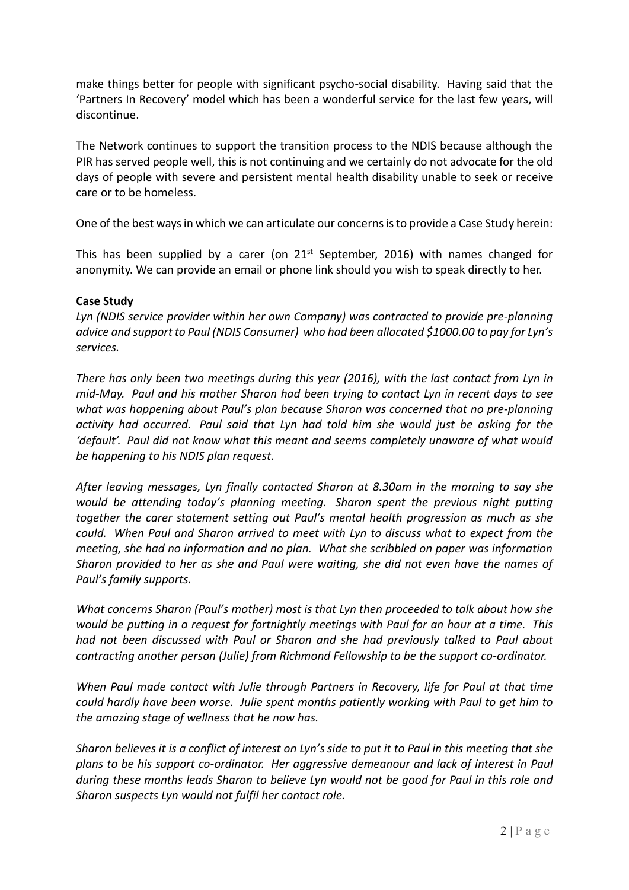make things better for people with significant psycho-social disability. Having said that the 'Partners In Recovery' model which has been a wonderful service for the last few years, will discontinue.

The Network continues to support the transition process to the NDIS because although the PIR has served people well, this is not continuing and we certainly do not advocate for the old days of people with severe and persistent mental health disability unable to seek or receive care or to be homeless.

One of the best ways in which we can articulate our concerns is to provide a Case Study herein:

This has been supplied by a carer (on  $21^{st}$  September, 2016) with names changed for anonymity. We can provide an email or phone link should you wish to speak directly to her.

### **Case Study**

*Lyn (NDIS service provider within her own Company) was contracted to provide pre-planning advice and support to Paul (NDIS Consumer) who had been allocated \$1000.00 to pay for Lyn's services.*

*There has only been two meetings during this year (2016), with the last contact from Lyn in mid-May. Paul and his mother Sharon had been trying to contact Lyn in recent days to see what was happening about Paul's plan because Sharon was concerned that no pre-planning activity had occurred. Paul said that Lyn had told him she would just be asking for the 'default'. Paul did not know what this meant and seems completely unaware of what would be happening to his NDIS plan request.*

*After leaving messages, Lyn finally contacted Sharon at 8.30am in the morning to say she would be attending today's planning meeting. Sharon spent the previous night putting together the carer statement setting out Paul's mental health progression as much as she could. When Paul and Sharon arrived to meet with Lyn to discuss what to expect from the meeting, she had no information and no plan. What she scribbled on paper was information Sharon provided to her as she and Paul were waiting, she did not even have the names of Paul's family supports.*

*What concerns Sharon (Paul's mother) most is that Lyn then proceeded to talk about how she would be putting in a request for fortnightly meetings with Paul for an hour at a time. This had not been discussed with Paul or Sharon and she had previously talked to Paul about contracting another person (Julie) from Richmond Fellowship to be the support co-ordinator.*

*When Paul made contact with Julie through Partners in Recovery, life for Paul at that time could hardly have been worse. Julie spent months patiently working with Paul to get him to the amazing stage of wellness that he now has.*

*Sharon believes it is a conflict of interest on Lyn's side to put it to Paul in this meeting that she plans to be his support co-ordinator. Her aggressive demeanour and lack of interest in Paul during these months leads Sharon to believe Lyn would not be good for Paul in this role and Sharon suspects Lyn would not fulfil her contact role.*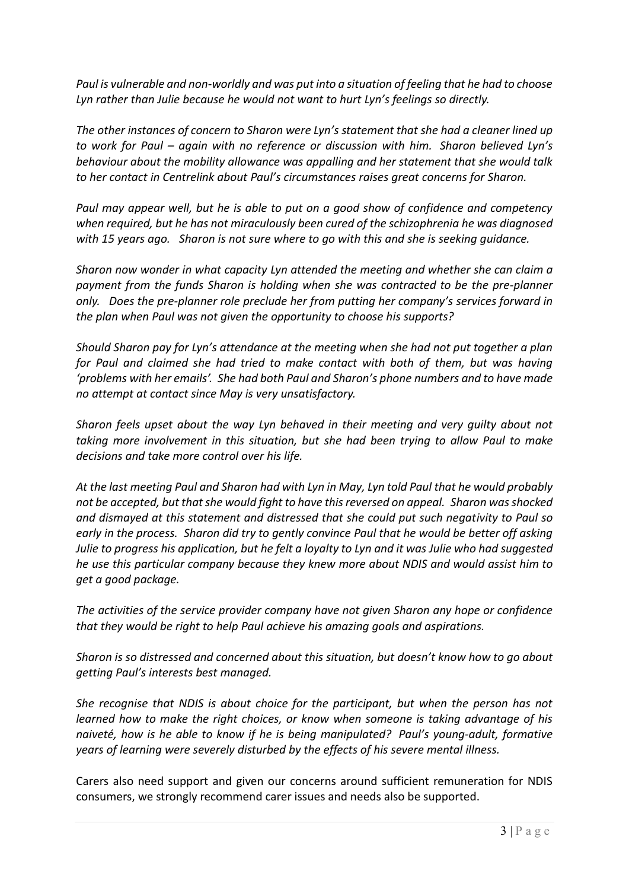*Paul is vulnerable and non-worldly and was put into a situation of feeling that he had to choose Lyn rather than Julie because he would not want to hurt Lyn's feelings so directly.*

*The other instances of concern to Sharon were Lyn's statement that she had a cleaner lined up to work for Paul – again with no reference or discussion with him. Sharon believed Lyn's behaviour about the mobility allowance was appalling and her statement that she would talk to her contact in Centrelink about Paul's circumstances raises great concerns for Sharon.*

*Paul may appear well, but he is able to put on a good show of confidence and competency when required, but he has not miraculously been cured of the schizophrenia he was diagnosed with 15 years ago. Sharon is not sure where to go with this and she is seeking guidance.*

*Sharon now wonder in what capacity Lyn attended the meeting and whether she can claim a payment from the funds Sharon is holding when she was contracted to be the pre-planner only. Does the pre-planner role preclude her from putting her company's services forward in the plan when Paul was not given the opportunity to choose his supports?*

*Should Sharon pay for Lyn's attendance at the meeting when she had not put together a plan for Paul and claimed she had tried to make contact with both of them, but was having 'problems with her emails'. She had both Paul and Sharon's phone numbers and to have made no attempt at contact since May is very unsatisfactory.*

*Sharon feels upset about the way Lyn behaved in their meeting and very guilty about not taking more involvement in this situation, but she had been trying to allow Paul to make decisions and take more control over his life.*

*At the last meeting Paul and Sharon had with Lyn in May, Lyn told Paul that he would probably not be accepted, but that she would fight to have this reversed on appeal. Sharon was shocked and dismayed at this statement and distressed that she could put such negativity to Paul so early in the process. Sharon did try to gently convince Paul that he would be better off asking Julie to progress his application, but he felt a loyalty to Lyn and it was Julie who had suggested he use this particular company because they knew more about NDIS and would assist him to get a good package.*

*The activities of the service provider company have not given Sharon any hope or confidence that they would be right to help Paul achieve his amazing goals and aspirations.*

*Sharon is so distressed and concerned about this situation, but doesn't know how to go about getting Paul's interests best managed.*

*She recognise that NDIS is about choice for the participant, but when the person has not learned how to make the right choices, or know when someone is taking advantage of his naiveté, how is he able to know if he is being manipulated? Paul's young-adult, formative years of learning were severely disturbed by the effects of his severe mental illness.*

Carers also need support and given our concerns around sufficient remuneration for NDIS consumers, we strongly recommend carer issues and needs also be supported.